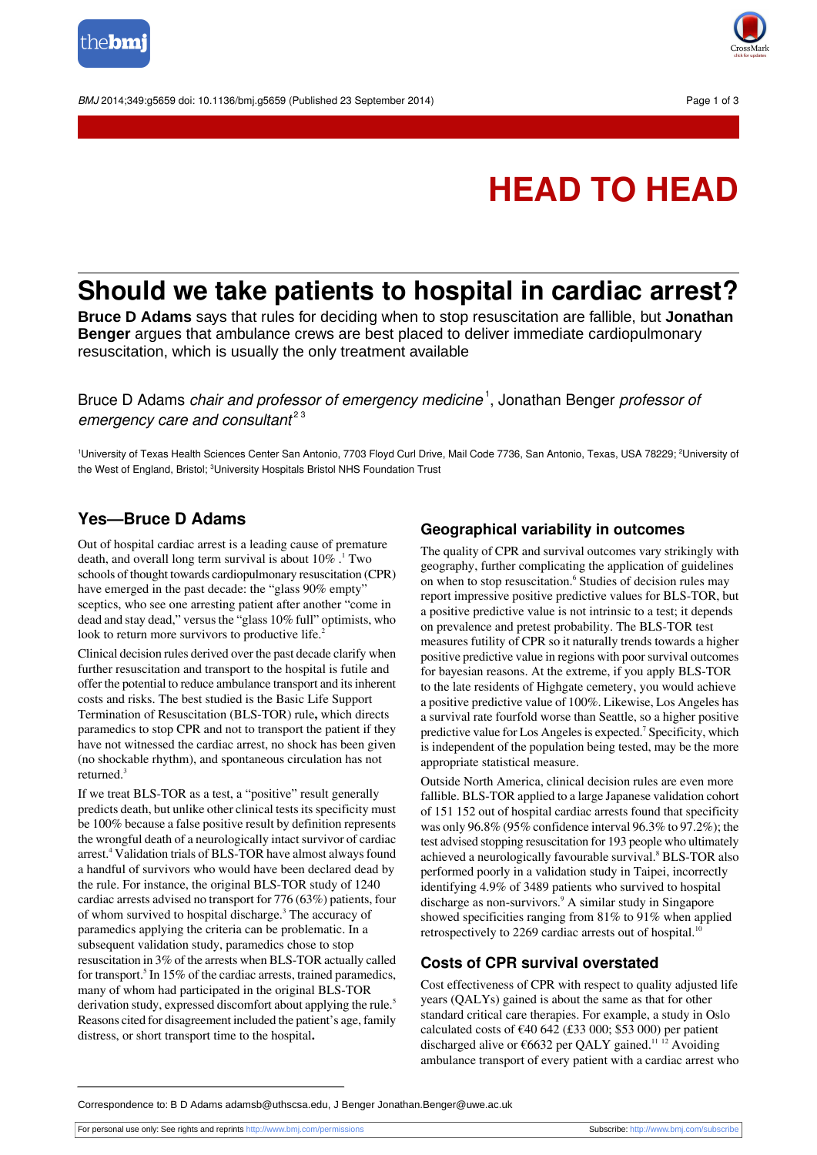



# **HEAD TO HEAD**

## **Should we take patients to hospital in cardiac arrest?**

**Bruce D Adams** says that rules for deciding when to stop resuscitation are fallible, but **Jonathan Benger** argues that ambulance crews are best placed to deliver immediate cardiopulmonary resuscitation, which is usually the only treatment available

Bruce D Adams *chair and professor of emergency medicine* <sup>1</sup>, Jonathan Benger *professor o*i emergency care and consultant $^{23}$ 

<sup>1</sup>University of Texas Health Sciences Center San Antonio, 7703 Floyd Curl Drive, Mail Code 7736, San Antonio, Texas, USA 78229; <sup>2</sup>University of the West of England, Bristol; <sup>3</sup>University Hospitals Bristol NHS Foundation Trust

### **Yes—Bruce D Adams**

Out of hospital cardiac arrest is a leading cause of premature death, and overall long term survival is about 10% . <sup>1</sup> Two schools of thought towards cardiopulmonary resuscitation (CPR) have emerged in the past decade: the "glass  $90\%$  empty" sceptics, who see one arresting patient after another "come in dead and stay dead," versus the "glass 10% full" optimists, who look to return more survivors to productive life.<sup>2</sup>

Clinical decision rules derived over the past decade clarify when further resuscitation and transport to the hospital is futile and offer the potential to reduce ambulance transport and itsinherent costs and risks. The best studied is the Basic Life Support Termination of Resuscitation (BLS-TOR) rule**,** which directs paramedics to stop CPR and not to transport the patient if they have not witnessed the cardiac arrest, no shock has been given (no shockable rhythm), and spontaneous circulation has not returned.<sup>3</sup>

If we treat BLS-TOR as a test, a "positive" result generally predicts death, but unlike other clinical tests its specificity must be 100% because a false positive result by definition represents the wrongful death of a neurologically intact survivor of cardiac arrest.<sup>4</sup> Validation trials of BLS-TOR have almost always found a handful of survivors who would have been declared dead by the rule. For instance, the original BLS-TOR study of 1240 cardiac arrests advised no transport for 776 (63%) patients, four of whom survived to hospital discharge.<sup>3</sup> The accuracy of paramedics applying the criteria can be problematic. In a subsequent validation study, paramedics chose to stop resuscitation in 3% of the arrests when BLS-TOR actually called for transport.<sup>5</sup> In 15% of the cardiac arrests, trained paramedics, many of whom had participated in the original BLS-TOR derivation study, expressed discomfort about applying the rule.<sup>5</sup> Reasons cited for disagreement included the patient's age, family distress, or short transport time to the hospital**.**

#### **Geographical variability in outcomes**

The quality of CPR and survival outcomes vary strikingly with geography, further complicating the application of guidelines on when to stop resuscitation.<sup>6</sup> Studies of decision rules may report impressive positive predictive values for BLS-TOR, but a positive predictive value is not intrinsic to a test; it depends on prevalence and pretest probability. The BLS-TOR test measures futility of CPR so it naturally trends towards a higher positive predictive value in regions with poor survival outcomes for bayesian reasons. At the extreme, if you apply BLS-TOR to the late residents of Highgate cemetery, you would achieve a positive predictive value of 100%. Likewise, Los Angeles has a survival rate fourfold worse than Seattle, so a higher positive predictive value for Los Angeles is expected.<sup>7</sup> Specificity, which is independent of the population being tested, may be the more appropriate statistical measure.

Outside North America, clinical decision rules are even more fallible. BLS-TOR applied to a large Japanese validation cohort of 151 152 out of hospital cardiac arrests found that specificity was only 96.8% (95% confidence interval 96.3% to 97.2%); the test advised stopping resuscitation for 193 people who ultimately achieved a neurologically favourable survival.<sup>8</sup> BLS-TOR also performed poorly in a validation study in Taipei, incorrectly identifying 4.9% of 3489 patients who survived to hospital discharge as non-survivors.<sup>9</sup> A similar study in Singapore showed specificities ranging from 81% to 91% when applied retrospectively to 2269 cardiac arrests out of hospital.<sup>10</sup>

#### **Costs of CPR survival overstated**

Cost effectiveness of CPR with respect to quality adjusted life years (QALYs) gained is about the same as that for other standard critical care therapies. For example, a study in Oslo calculated costs of  $\epsilon$ 40 642 (£33 000; \$53 000) per patient discharged alive or  $\epsilon$ 6632 per QALY gained.<sup>11 12</sup> Avoiding ambulance transport of every patient with a cardiac arrest who

Correspondence to: B D Adams adamsb@uthscsa.edu, J Benger Jonathan.Benger@uwe.ac.uk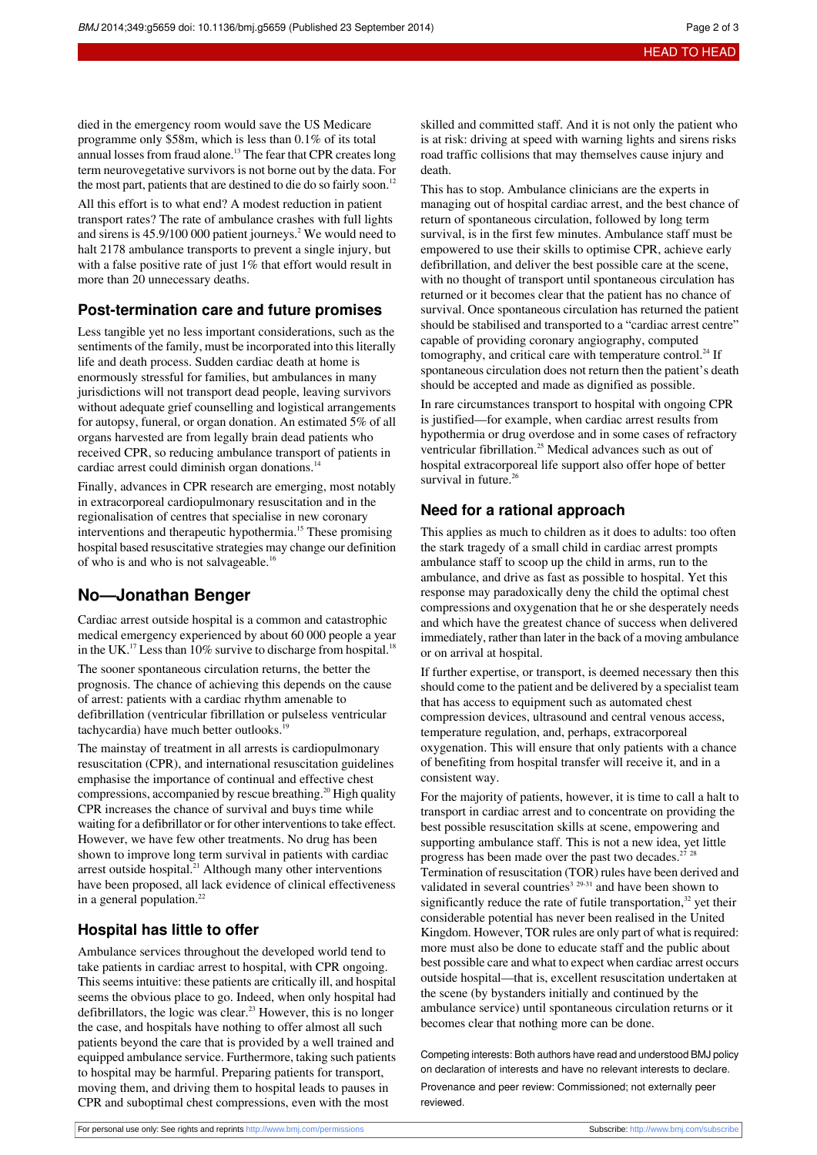died in the emergency room would save the US Medicare programme only \$58m, which is less than 0.1% of its total annual losses from fraud alone.<sup>13</sup> The fear that CPR creates long term neurovegetative survivors is not borne out by the data. For the most part, patients that are destined to die do so fairly soon.<sup>12</sup>

All this effort is to what end? A modest reduction in patient transport rates? The rate of ambulance crashes with full lights and sirens is  $45.9/100\,000$  patient journeys.<sup>2</sup> We would need to halt 2178 ambulance transports to prevent a single injury, but with a false positive rate of just 1% that effort would result in more than 20 unnecessary deaths.

#### **Post-termination care and future promises**

Less tangible yet no less important considerations, such as the sentiments of the family, must be incorporated into this literally life and death process. Sudden cardiac death at home is enormously stressful for families, but ambulances in many jurisdictions will not transport dead people, leaving survivors without adequate grief counselling and logistical arrangements for autopsy, funeral, or organ donation. An estimated 5% of all organs harvested are from legally brain dead patients who received CPR, so reducing ambulance transport of patients in cardiac arrest could diminish organ donations.<sup>14</sup>

Finally, advances in CPR research are emerging, most notably in extracorporeal cardiopulmonary resuscitation and in the regionalisation of centres that specialise in new coronary interventions and therapeutic hypothermia.<sup>15</sup> These promising hospital based resuscitative strategies may change our definition of who is and who is not salvageable.<sup>16</sup>

#### **No—Jonathan Benger**

Cardiac arrest outside hospital is a common and catastrophic medical emergency experienced by about 60 000 people a year in the UK.<sup>17</sup> Less than 10% survive to discharge from hospital.<sup>18</sup>

The sooner spontaneous circulation returns, the better the prognosis. The chance of achieving this depends on the cause of arrest: patients with a cardiac rhythm amenable to defibrillation (ventricular fibrillation or pulseless ventricular tachycardia) have much better outlooks.<sup>19</sup>

The mainstay of treatment in all arrests is cardiopulmonary resuscitation (CPR), and international resuscitation guidelines emphasise the importance of continual and effective chest compressions, accompanied by rescue breathing.<sup>20</sup> High quality CPR increases the chance of survival and buys time while waiting for a defibrillator or for other interventions to take effect. However, we have few other treatments. No drug has been shown to improve long term survival in patients with cardiac arrest outside hospital.<sup>21</sup> Although many other interventions have been proposed, all lack evidence of clinical effectiveness in a general population.<sup>22</sup>

#### **Hospital has little to offer**

Ambulance services throughout the developed world tend to take patients in cardiac arrest to hospital, with CPR ongoing. This seems intuitive: these patients are critically ill, and hospital seems the obvious place to go. Indeed, when only hospital had defibrillators, the logic was clear.<sup>23</sup> However, this is no longer the case, and hospitals have nothing to offer almost all such patients beyond the care that is provided by a well trained and equipped ambulance service. Furthermore, taking such patients to hospital may be harmful. Preparing patients for transport, moving them, and driving them to hospital leads to pauses in CPR and suboptimal chest compressions, even with the most

skilled and committed staff. And it is not only the patient who is at risk: driving at speed with warning lights and sirens risks road traffic collisions that may themselves cause injury and death.

This has to stop. Ambulance clinicians are the experts in managing out of hospital cardiac arrest, and the best chance of return of spontaneous circulation, followed by long term survival, is in the first few minutes. Ambulance staff must be empowered to use their skills to optimise CPR, achieve early defibrillation, and deliver the best possible care at the scene, with no thought of transport until spontaneous circulation has returned or it becomes clear that the patient has no chance of survival. Once spontaneous circulation has returned the patient should be stabilised and transported to a "cardiac arrest centre" capable of providing coronary angiography, computed tomography, and critical care with temperature control. $^{24}$  If spontaneous circulation does not return then the patient's death should be accepted and made as dignified as possible.

In rare circumstances transport to hospital with ongoing CPR is justified—for example, when cardiac arrest results from hypothermia or drug overdose and in some cases of refractory ventricular fibrillation.<sup>25</sup> Medical advances such as out of hospital extracorporeal life support also offer hope of better survival in future.<sup>26</sup>

#### **Need for a rational approach**

This applies as much to children as it does to adults: too often the stark tragedy of a small child in cardiac arrest prompts ambulance staff to scoop up the child in arms, run to the ambulance, and drive as fast as possible to hospital. Yet this response may paradoxically deny the child the optimal chest compressions and oxygenation that he or she desperately needs and which have the greatest chance of success when delivered immediately, rather than later in the back of a moving ambulance or on arrival at hospital.

If further expertise, or transport, is deemed necessary then this should come to the patient and be delivered by a specialist team that has access to equipment such as automated chest compression devices, ultrasound and central venous access, temperature regulation, and, perhaps, extracorporeal oxygenation. This will ensure that only patients with a chance of benefiting from hospital transfer will receive it, and in a consistent way.

For the majority of patients, however, it is time to call a halt to transport in cardiac arrest and to concentrate on providing the best possible resuscitation skills at scene, empowering and supporting ambulance staff. This is not a new idea, yet little progress has been made over the past two decades.<sup>2</sup> Termination of resuscitation (TOR) rules have been derived and validated in several countries<sup>3</sup><sup>29-31</sup> and have been shown to significantly reduce the rate of futile transportation,<sup>32</sup> yet their considerable potential has never been realised in the United Kingdom. However, TOR rules are only part of what is required: more must also be done to educate staff and the public about best possible care and what to expect when cardiac arrest occurs outside hospital—that is, excellent resuscitation undertaken at the scene (by bystanders initially and continued by the ambulance service) until spontaneous circulation returns or it becomes clear that nothing more can be done.

Competing interests: Both authors have read and understood BMJ policy on declaration of interests and have no relevant interests to declare.

Provenance and peer review: Commissioned; not externally peer reviewed.